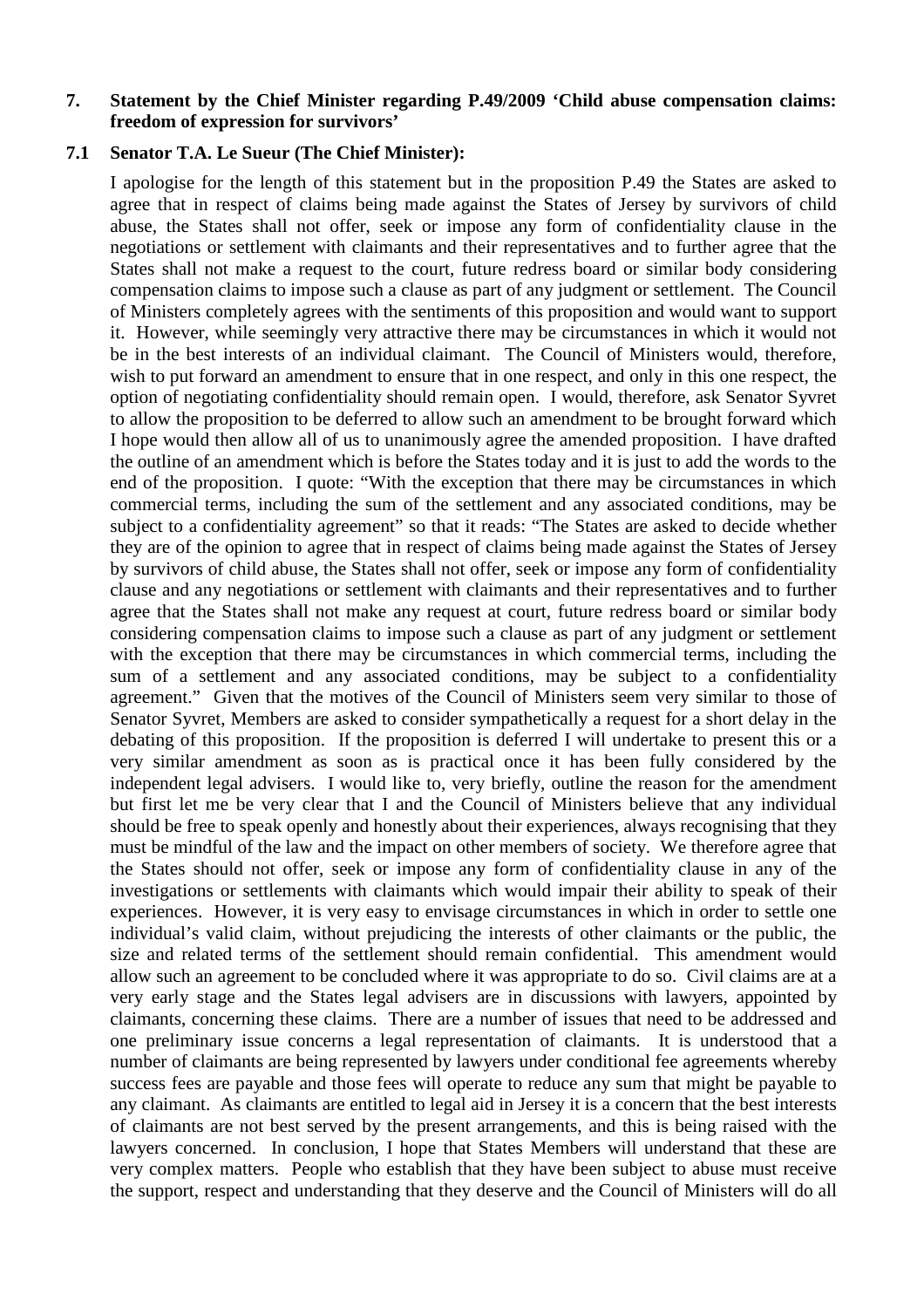#### **7. Statement by the Chief Minister regarding P.49/2009 'Child abuse compensation claims: freedom of expression for survivors'**

#### **7.1 Senator T.A. Le Sueur (The Chief Minister):**

I apologise for the length of this statement but in the proposition P.49 the States are asked to agree that in respect of claims being made against the States of Jersey by survivors of child abuse, the States shall not offer, seek or impose any form of confidentiality clause in the negotiations or settlement with claimants and their representatives and to further agree that the States shall not make a request to the court, future redress board or similar body considering compensation claims to impose such a clause as part of any judgment or settlement. The Council of Ministers completely agrees with the sentiments of this proposition and would want to support it. However, while seemingly very attractive there may be circumstances in which it would not be in the best interests of an individual claimant. The Council of Ministers would, therefore, wish to put forward an amendment to ensure that in one respect, and only in this one respect, the option of negotiating confidentiality should remain open. I would, therefore, ask Senator Syvret to allow the proposition to be deferred to allow such an amendment to be brought forward which I hope would then allow all of us to unanimously agree the amended proposition. I have drafted the outline of an amendment which is before the States today and it is just to add the words to the end of the proposition. I quote: "With the exception that there may be circumstances in which commercial terms, including the sum of the settlement and any associated conditions, may be subject to a confidentiality agreement" so that it reads: "The States are asked to decide whether they are of the opinion to agree that in respect of claims being made against the States of Jersey by survivors of child abuse, the States shall not offer, seek or impose any form of confidentiality clause and any negotiations or settlement with claimants and their representatives and to further agree that the States shall not make any request at court, future redress board or similar body considering compensation claims to impose such a clause as part of any judgment or settlement with the exception that there may be circumstances in which commercial terms, including the sum of a settlement and any associated conditions, may be subject to a confidentiality agreement." Given that the motives of the Council of Ministers seem very similar to those of Senator Syvret, Members are asked to consider sympathetically a request for a short delay in the debating of this proposition. If the proposition is deferred I will undertake to present this or a very similar amendment as soon as is practical once it has been fully considered by the independent legal advisers. I would like to, very briefly, outline the reason for the amendment but first let me be very clear that I and the Council of Ministers believe that any individual should be free to speak openly and honestly about their experiences, always recognising that they must be mindful of the law and the impact on other members of society. We therefore agree that the States should not offer, seek or impose any form of confidentiality clause in any of the investigations or settlements with claimants which would impair their ability to speak of their experiences. However, it is very easy to envisage circumstances in which in order to settle one individual's valid claim, without prejudicing the interests of other claimants or the public, the size and related terms of the settlement should remain confidential. This amendment would allow such an agreement to be concluded where it was appropriate to do so. Civil claims are at a very early stage and the States legal advisers are in discussions with lawyers, appointed by claimants, concerning these claims. There are a number of issues that need to be addressed and one preliminary issue concerns a legal representation of claimants. It is understood that a number of claimants are being represented by lawyers under conditional fee agreements whereby success fees are payable and those fees will operate to reduce any sum that might be payable to any claimant. As claimants are entitled to legal aid in Jersey it is a concern that the best interests of claimants are not best served by the present arrangements, and this is being raised with the lawyers concerned. In conclusion, I hope that States Members will understand that these are very complex matters. People who establish that they have been subject to abuse must receive the support, respect and understanding that they deserve and the Council of Ministers will do all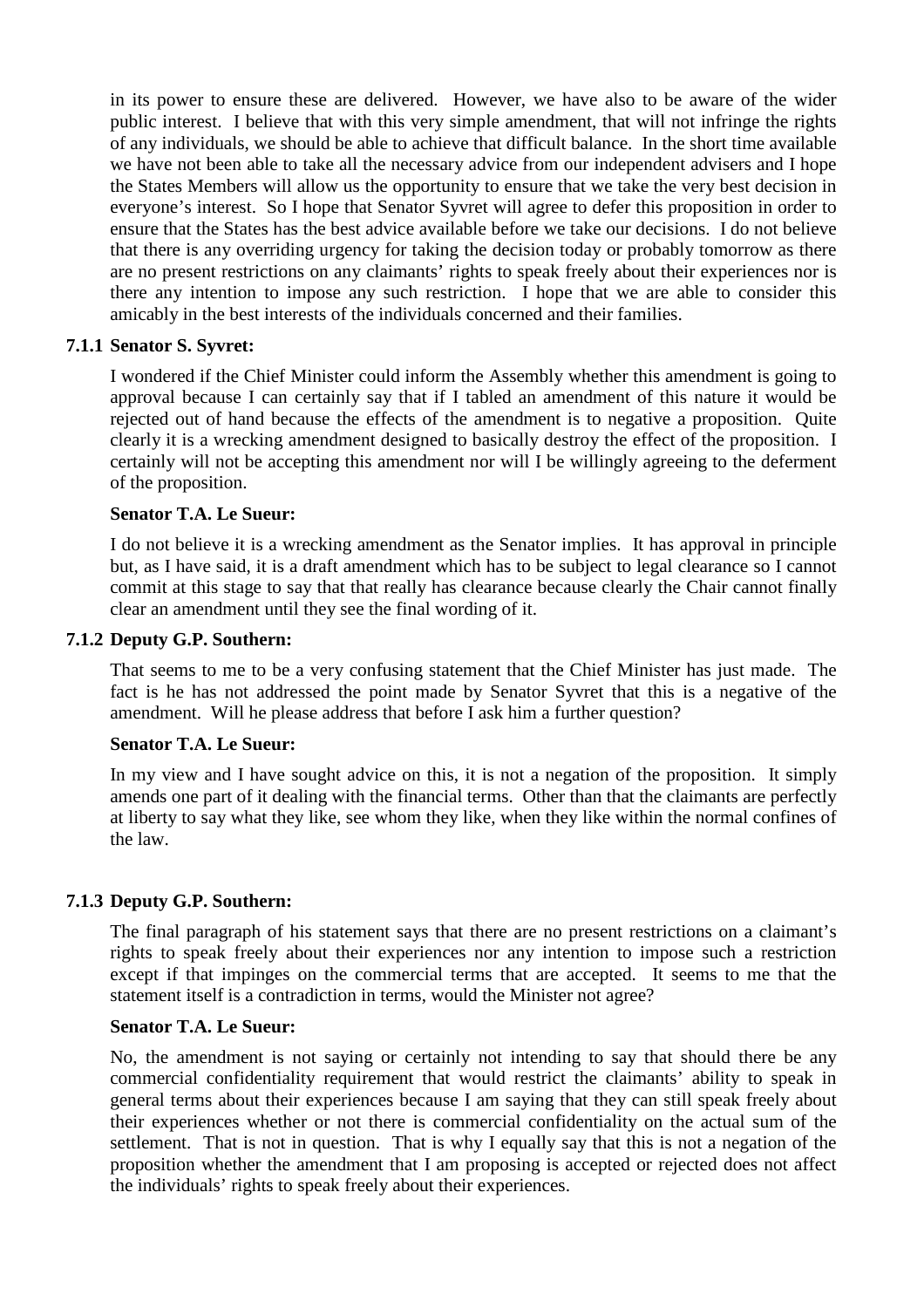in its power to ensure these are delivered. However, we have also to be aware of the wider public interest. I believe that with this very simple amendment, that will not infringe the rights of any individuals, we should be able to achieve that difficult balance. In the short time available we have not been able to take all the necessary advice from our independent advisers and I hope the States Members will allow us the opportunity to ensure that we take the very best decision in everyone's interest. So I hope that Senator Syvret will agree to defer this proposition in order to ensure that the States has the best advice available before we take our decisions. I do not believe that there is any overriding urgency for taking the decision today or probably tomorrow as there are no present restrictions on any claimants' rights to speak freely about their experiences nor is there any intention to impose any such restriction. I hope that we are able to consider this amicably in the best interests of the individuals concerned and their families.

# **7.1.1 Senator S. Syvret:**

I wondered if the Chief Minister could inform the Assembly whether this amendment is going to approval because I can certainly say that if I tabled an amendment of this nature it would be rejected out of hand because the effects of the amendment is to negative a proposition. Quite clearly it is a wrecking amendment designed to basically destroy the effect of the proposition. I certainly will not be accepting this amendment nor will I be willingly agreeing to the deferment of the proposition.

#### **Senator T.A. Le Sueur:**

I do not believe it is a wrecking amendment as the Senator implies. It has approval in principle but, as I have said, it is a draft amendment which has to be subject to legal clearance so I cannot commit at this stage to say that that really has clearance because clearly the Chair cannot finally clear an amendment until they see the final wording of it.

#### **7.1.2 Deputy G.P. Southern:**

That seems to me to be a very confusing statement that the Chief Minister has just made. The fact is he has not addressed the point made by Senator Syvret that this is a negative of the amendment. Will he please address that before I ask him a further question?

# **Senator T.A. Le Sueur:**

In my view and I have sought advice on this, it is not a negation of the proposition. It simply amends one part of it dealing with the financial terms. Other than that the claimants are perfectly at liberty to say what they like, see whom they like, when they like within the normal confines of the law.

#### **7.1.3 Deputy G.P. Southern:**

The final paragraph of his statement says that there are no present restrictions on a claimant's rights to speak freely about their experiences nor any intention to impose such a restriction except if that impinges on the commercial terms that are accepted. It seems to me that the statement itself is a contradiction in terms, would the Minister not agree?

#### **Senator T.A. Le Sueur:**

No, the amendment is not saying or certainly not intending to say that should there be any commercial confidentiality requirement that would restrict the claimants' ability to speak in general terms about their experiences because I am saying that they can still speak freely about their experiences whether or not there is commercial confidentiality on the actual sum of the settlement. That is not in question. That is why I equally say that this is not a negation of the proposition whether the amendment that I am proposing is accepted or rejected does not affect the individuals' rights to speak freely about their experiences.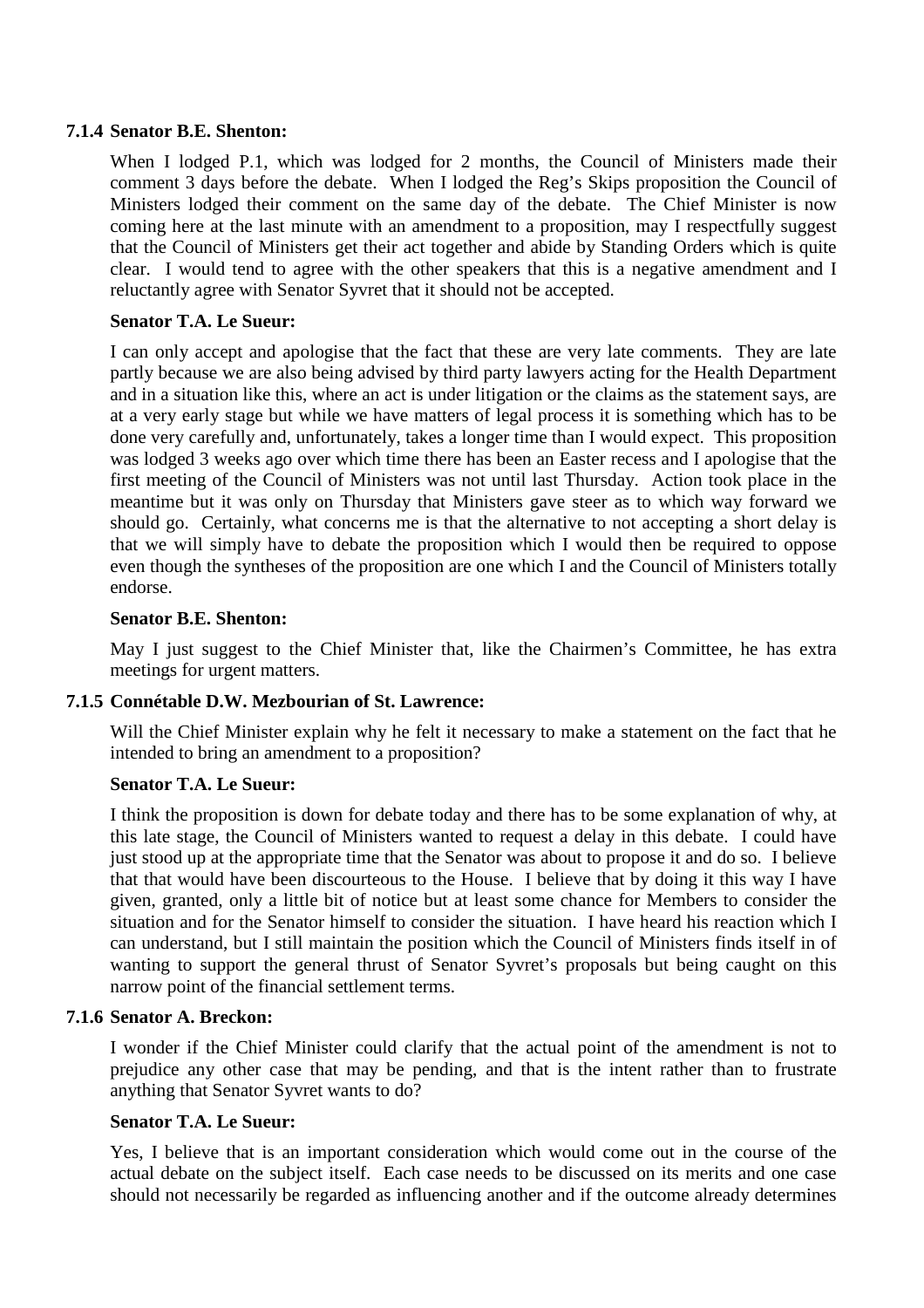#### **7.1.4 Senator B.E. Shenton:**

When I lodged P.1, which was lodged for 2 months, the Council of Ministers made their comment 3 days before the debate. When I lodged the Reg's Skips proposition the Council of Ministers lodged their comment on the same day of the debate. The Chief Minister is now coming here at the last minute with an amendment to a proposition, may I respectfully suggest that the Council of Ministers get their act together and abide by Standing Orders which is quite clear. I would tend to agree with the other speakers that this is a negative amendment and I reluctantly agree with Senator Syvret that it should not be accepted.

#### **Senator T.A. Le Sueur:**

I can only accept and apologise that the fact that these are very late comments. They are late partly because we are also being advised by third party lawyers acting for the Health Department and in a situation like this, where an act is under litigation or the claims as the statement says, are at a very early stage but while we have matters of legal process it is something which has to be done very carefully and, unfortunately, takes a longer time than I would expect. This proposition was lodged 3 weeks ago over which time there has been an Easter recess and I apologise that the first meeting of the Council of Ministers was not until last Thursday. Action took place in the meantime but it was only on Thursday that Ministers gave steer as to which way forward we should go. Certainly, what concerns me is that the alternative to not accepting a short delay is that we will simply have to debate the proposition which I would then be required to oppose even though the syntheses of the proposition are one which I and the Council of Ministers totally endorse.

#### **Senator B.E. Shenton:**

May I just suggest to the Chief Minister that, like the Chairmen's Committee, he has extra meetings for urgent matters.

#### **7.1.5 Connétable D.W. Mezbourian of St. Lawrence:**

Will the Chief Minister explain why he felt it necessary to make a statement on the fact that he intended to bring an amendment to a proposition?

#### **Senator T.A. Le Sueur:**

I think the proposition is down for debate today and there has to be some explanation of why, at this late stage, the Council of Ministers wanted to request a delay in this debate. I could have just stood up at the appropriate time that the Senator was about to propose it and do so. I believe that that would have been discourteous to the House. I believe that by doing it this way I have given, granted, only a little bit of notice but at least some chance for Members to consider the situation and for the Senator himself to consider the situation. I have heard his reaction which I can understand, but I still maintain the position which the Council of Ministers finds itself in of wanting to support the general thrust of Senator Syvret's proposals but being caught on this narrow point of the financial settlement terms.

### **7.1.6 Senator A. Breckon:**

I wonder if the Chief Minister could clarify that the actual point of the amendment is not to prejudice any other case that may be pending, and that is the intent rather than to frustrate anything that Senator Syvret wants to do?

#### **Senator T.A. Le Sueur:**

Yes, I believe that is an important consideration which would come out in the course of the actual debate on the subject itself. Each case needs to be discussed on its merits and one case should not necessarily be regarded as influencing another and if the outcome already determines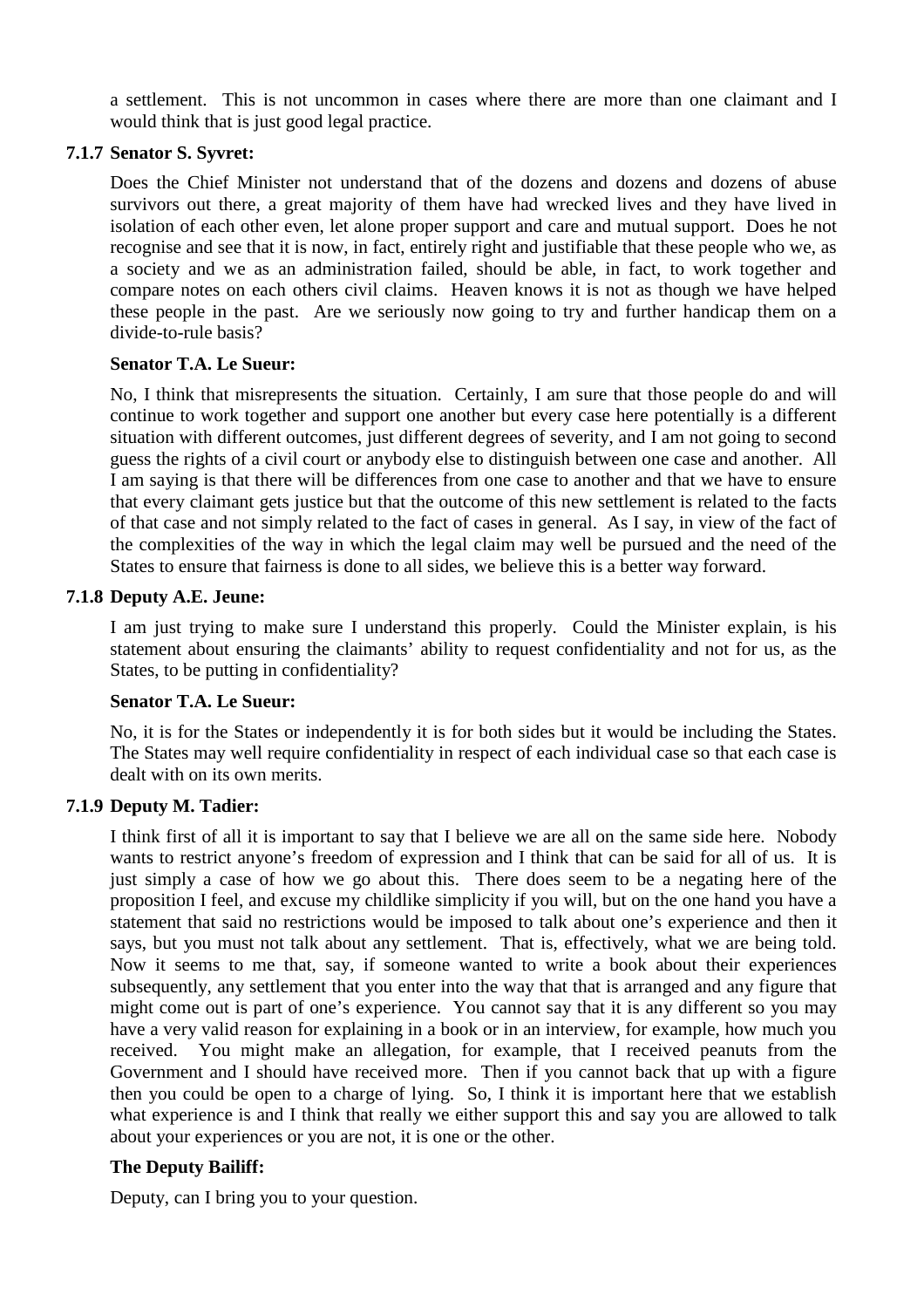a settlement. This is not uncommon in cases where there are more than one claimant and I would think that is just good legal practice.

# **7.1.7 Senator S. Syvret:**

Does the Chief Minister not understand that of the dozens and dozens and dozens of abuse survivors out there, a great majority of them have had wrecked lives and they have lived in isolation of each other even, let alone proper support and care and mutual support. Does he not recognise and see that it is now, in fact, entirely right and justifiable that these people who we, as a society and we as an administration failed, should be able, in fact, to work together and compare notes on each others civil claims. Heaven knows it is not as though we have helped these people in the past. Are we seriously now going to try and further handicap them on a divide-to-rule basis?

# **Senator T.A. Le Sueur:**

No, I think that misrepresents the situation. Certainly, I am sure that those people do and will continue to work together and support one another but every case here potentially is a different situation with different outcomes, just different degrees of severity, and I am not going to second guess the rights of a civil court or anybody else to distinguish between one case and another. All I am saying is that there will be differences from one case to another and that we have to ensure that every claimant gets justice but that the outcome of this new settlement is related to the facts of that case and not simply related to the fact of cases in general. As I say, in view of the fact of the complexities of the way in which the legal claim may well be pursued and the need of the States to ensure that fairness is done to all sides, we believe this is a better way forward.

# **7.1.8 Deputy A.E. Jeune:**

I am just trying to make sure I understand this properly. Could the Minister explain, is his statement about ensuring the claimants' ability to request confidentiality and not for us, as the States, to be putting in confidentiality?

#### **Senator T.A. Le Sueur:**

No, it is for the States or independently it is for both sides but it would be including the States. The States may well require confidentiality in respect of each individual case so that each case is dealt with on its own merits.

# **7.1.9 Deputy M. Tadier:**

I think first of all it is important to say that I believe we are all on the same side here. Nobody wants to restrict anyone's freedom of expression and I think that can be said for all of us. It is just simply a case of how we go about this. There does seem to be a negating here of the proposition I feel, and excuse my childlike simplicity if you will, but on the one hand you have a statement that said no restrictions would be imposed to talk about one's experience and then it says, but you must not talk about any settlement. That is, effectively, what we are being told. Now it seems to me that, say, if someone wanted to write a book about their experiences subsequently, any settlement that you enter into the way that that is arranged and any figure that might come out is part of one's experience. You cannot say that it is any different so you may have a very valid reason for explaining in a book or in an interview, for example, how much you received. You might make an allegation, for example, that I received peanuts from the Government and I should have received more. Then if you cannot back that up with a figure then you could be open to a charge of lying. So, I think it is important here that we establish what experience is and I think that really we either support this and say you are allowed to talk about your experiences or you are not, it is one or the other.

# **The Deputy Bailiff:**

Deputy, can I bring you to your question.